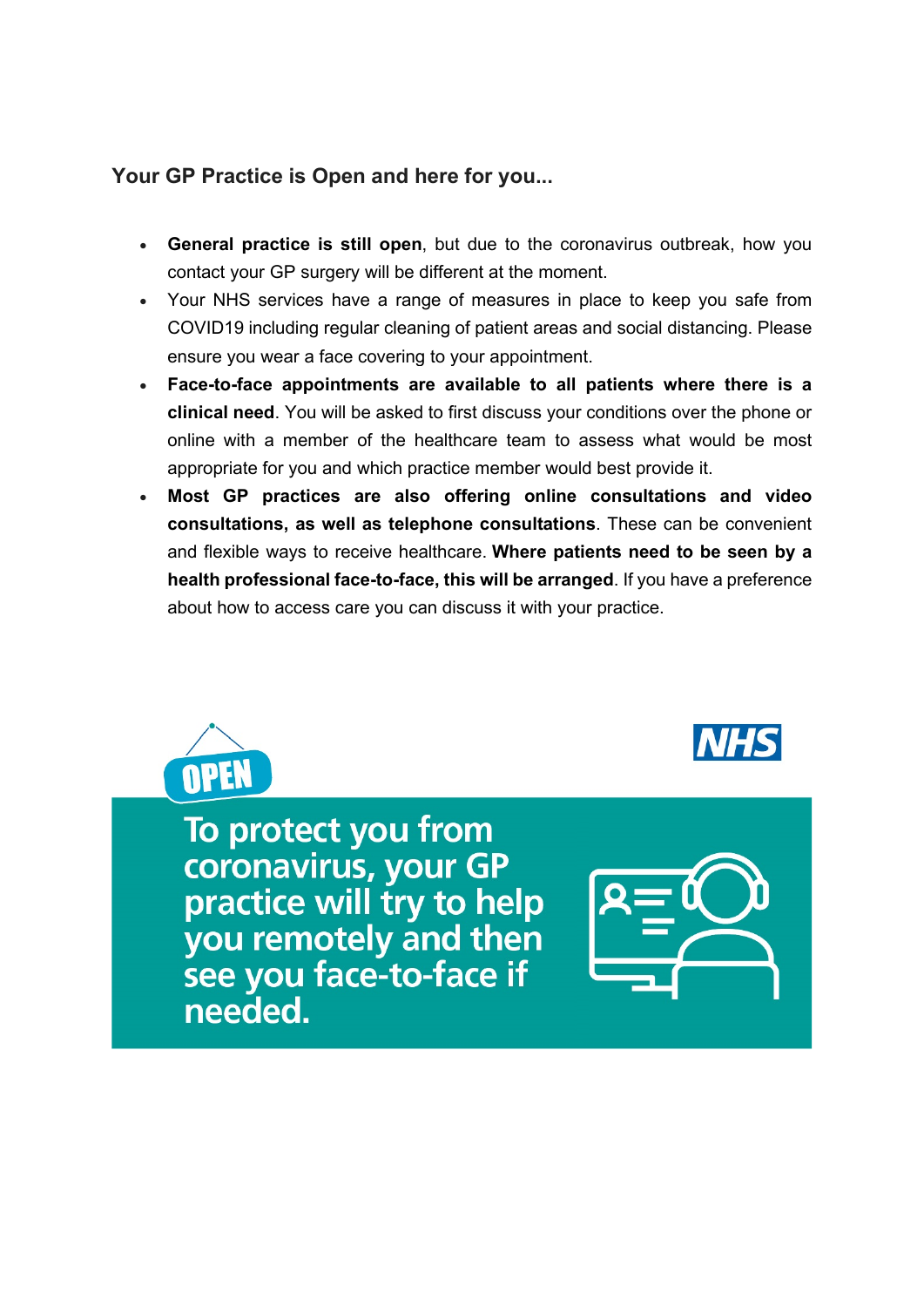### **Your GP Practice is Open and here for you...**

- **General practice is still open**, but due to the coronavirus outbreak, how you contact your GP surgery will be different at the moment.
- Your NHS services have a range of measures in place to keep you safe from COVID19 including regular cleaning of patient areas and social distancing. Please ensure you wear a face covering to your appointment.
- **Face-to-face appointments are available to all patients where there is a clinical need**. You will be asked to first discuss your conditions over the phone or online with a member of the healthcare team to assess what would be most appropriate for you and which practice member would best provide it.
- **Most GP practices are also offering online consultations and video consultations, as well as telephone consultations**. These can be convenient and flexible ways to receive healthcare. **Where patients need to be seen by a health professional face-to-face, this will be arranged**. If you have a preference about how to access care you can discuss it with your practice.



To protect you from coronavirus, your GP practice will try to help you remotely and then see you face-to-face if needed.

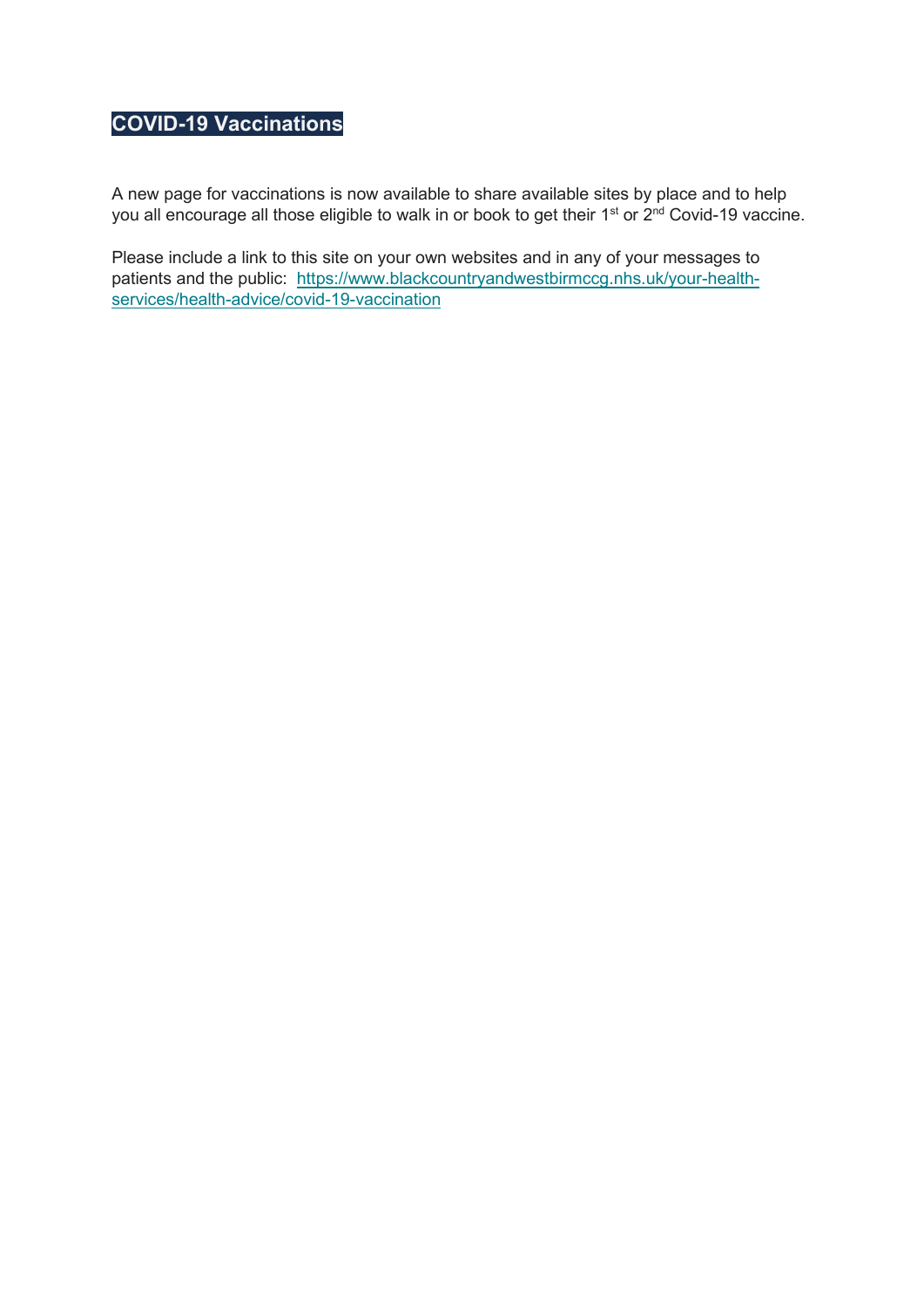# **COVID-19 Vaccinations**

A new page for vaccinations is now available to share available sites by place and to help you all encourage all those eligible to walk in or book to get their 1<sup>st</sup> or 2<sup>nd</sup> Covid-19 vaccine.

Please include a link to this site on your own websites and in any of your messages to patients and the public: [https://www.blackcountryandwestbirmccg.nhs.uk/your-health](https://www.blackcountryandwestbirmccg.nhs.uk/your-health-services/health-advice/covid-19-vaccination)[services/health-advice/covid-19-vaccination](https://www.blackcountryandwestbirmccg.nhs.uk/your-health-services/health-advice/covid-19-vaccination)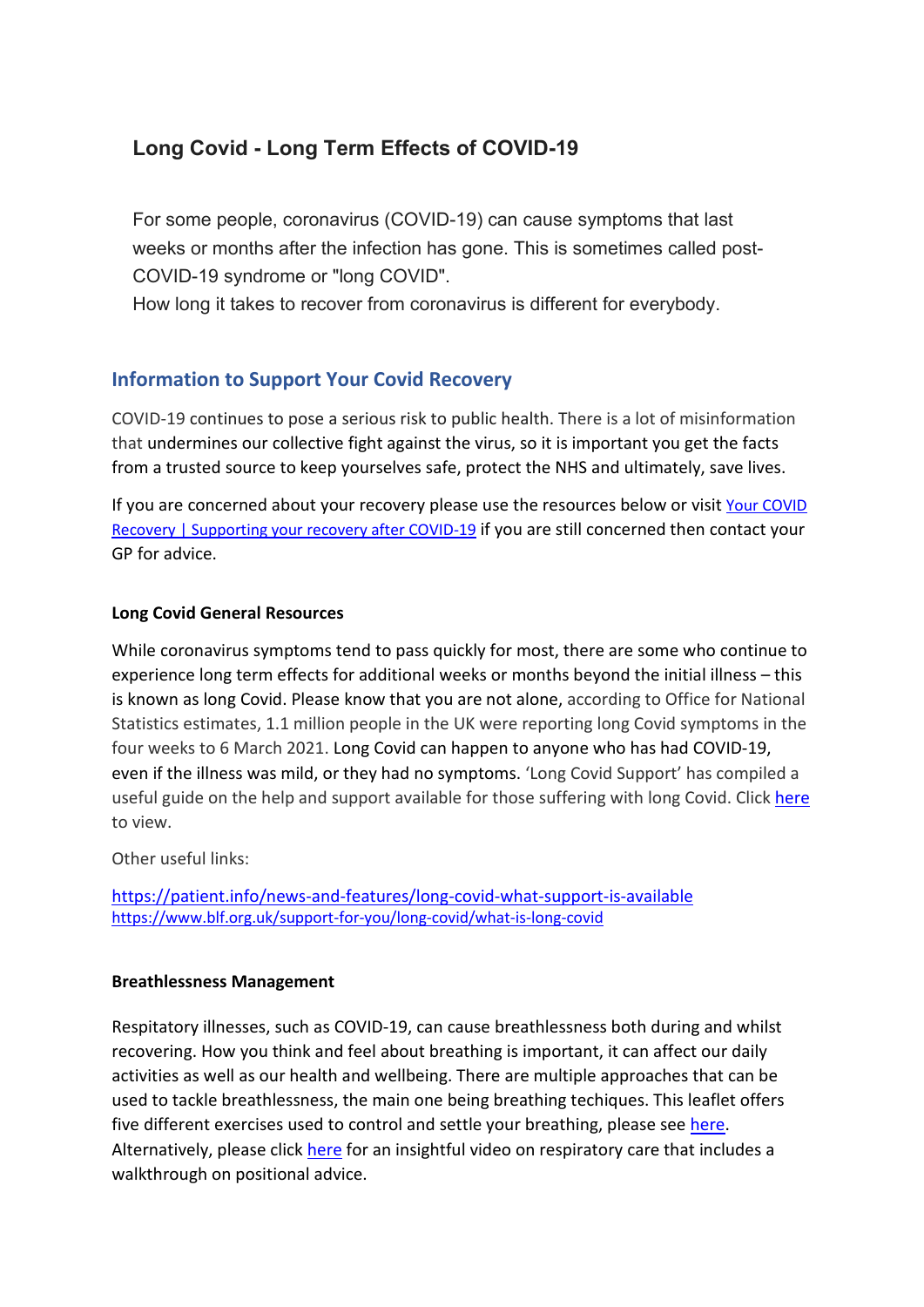## **Long Covid - Long Term Effects of COVID-19**

For some people, coronavirus (COVID-19) can cause symptoms that last weeks or months after the infection has gone. This is sometimes called post-COVID-19 syndrome or "long COVID".

How long it takes to recover from coronavirus is different for everybody.

### **Information to Support Your Covid Recovery**

COVID-19 continues to pose a serious risk to public health. There is a lot of misinformation that undermines our collective fight against the virus, so it is important you get the facts from a trusted source to keep yourselves safe, protect the NHS and ultimately, save lives.

If you are concerned about your recovery please use the resources below or visit Your COVID [Recovery | Supporting your recovery after COVID-19](https://www.yourcovidrecovery.nhs.uk/) if you are still concerned then contact your GP for advice.

#### **Long Covid General Resources**

While coronavirus symptoms tend to pass quickly for most, there are some who continue to experience long term effects for additional weeks or months beyond the initial illness – this is known as long Covid. Please know that you are not alone, according to Office for National Statistics estimates, 1.1 million people in the UK were reporting long Covid symptoms in the four weeks to 6 March 2021. Long Covid can happen to anyone who has had COVID-19, even if the illness was mild, or they had no symptoms. 'Long Covid Support' has compiled a useful guide on the help and support available for those suffering with long Covid. Click [here](https://www.longcovid.org/resources/patients) to view.

Other useful links:

<https://patient.info/news-and-features/long-covid-what-support-is-available> <https://www.blf.org.uk/support-for-you/long-covid/what-is-long-covid>

#### **Breathlessness Management**

Respitatory illnesses, such as COVID-19, can cause breathlessness both during and whilst recovering. How you think and feel about breathing is important, it can affect our daily activities as well as our health and wellbeing. There are multiple approaches that can be used to tackle breathlessness, the main one being breathing techiques. This leaflet offers five different exercises used to control and settle your breathing, please se[e here.](https://www.acprc.org.uk/publications/patient-information-leaflets/) Alternatively, please click [here](https://player.vimeo.com/external/429276231.hd.mp4?s=aecda229afacbf0a93de2d15e21dec326d26e3fb&profile_id=175&download=1) for an insightful video on respiratory care that includes a walkthrough on positional advice.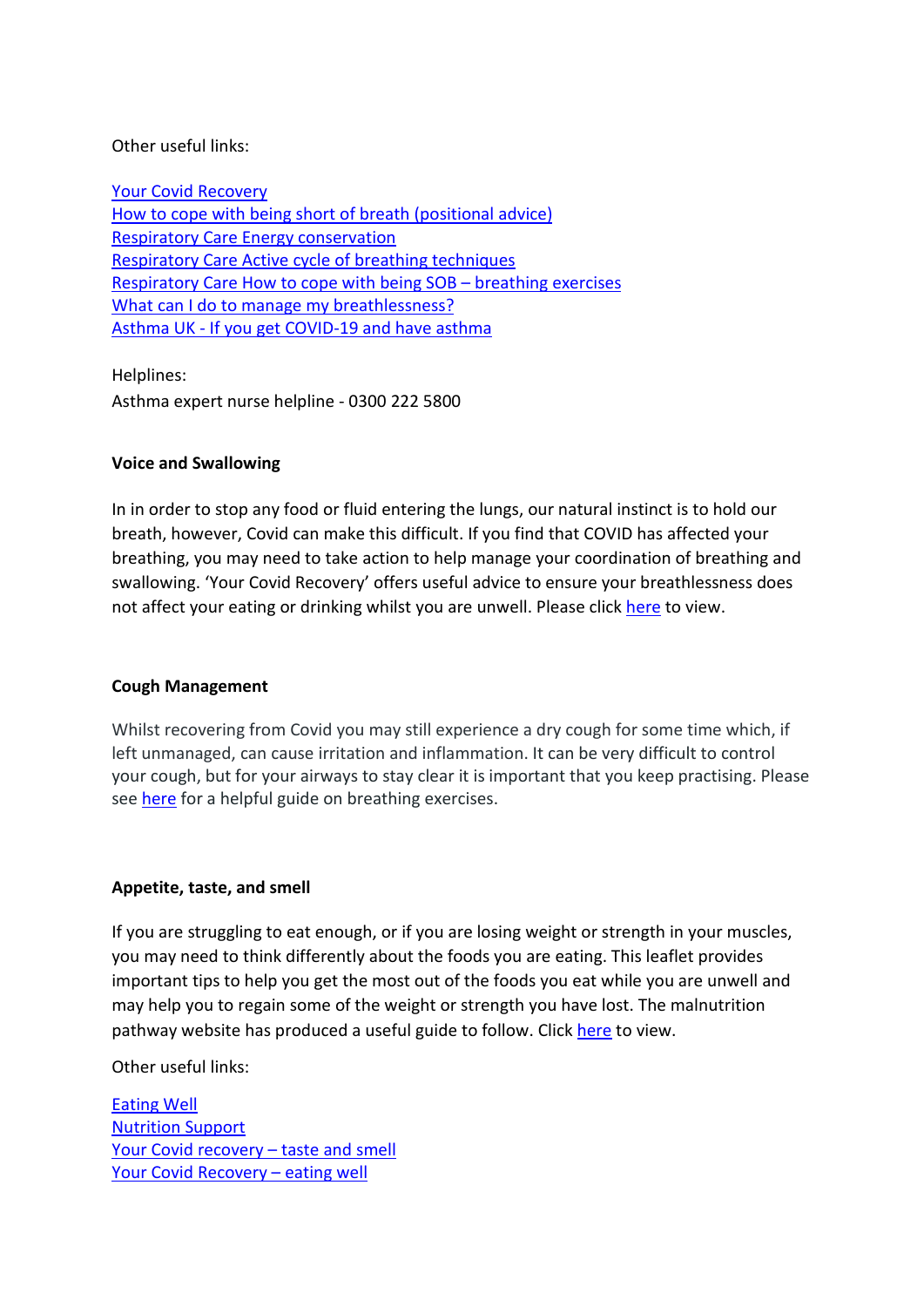#### Other useful links:

[Your Covid Recovery](https://www.yourcovidrecovery.nhs.uk/managing-the-effects/effects-on-your-body/breathlessness/) [How to cope with being short of breath \(positional advice\)](https://www.acprc.org.uk/Data/Publication_Downloads/GL-01HowtocopewithbeingSOB-positions(1).pdf?date=28/03/2020%2017:03:47) Respiratory Care [Energy conservation](https://www.acprc.org.uk/Data/Publication_Downloads/GL-03EnergyConservation(1).pdf?date=30/09/2020%2009:50:25) Respiratory Care [Active cycle of breathing techniques](https://www.acprc.org.uk/publications/patient-information-leaflets/) Respiratory Care [How to cope with being SOB –](https://www.acprc.org.uk/Data/Publication_Downloads/GL-02HowtocopewithbeingSOB-breathingex(1).pdf?date=30/09/2020%2009:50:25) breathing exercises [What can I do to manage my breathlessness?](https://www.blf.org.uk/support-for-you/breathlessness/how-to-manage-breathlessness#control) Asthma UK - [If you get COVID-19 and have asthma](https://www.asthma.org.uk/advice/triggers/coronavirus-covid-19/covid-19-and-asthma/)

Helplines:

Asthma expert nurse helpline - 0300 222 5800

#### **Voice and Swallowing**

In in order to stop any food or fluid entering the lungs, our natural instinct is to hold our breath, however, Covid can make this difficult. If you find that COVID has affected your breathing, you may need to take action to help manage your coordination of breathing and swallowing. 'Your Covid Recovery' offers useful advice to ensure your breathlessness does not affect your eating or drinking whilst you are unwell. Please click [here](https://www.yourcovidrecovery.nhs.uk/managing-the-effects/effects-on-your-body/voice-and-swallowing/) to view.

#### **Cough Management**

Whilst recovering from Covid you may still experience a dry cough for some time which, if left unmanaged, can cause irritation and inflammation. It can be very difficult to control your cough, but for your airways to stay clear it is important that you keep practising. Please see [here](https://www.yourcovidrecovery.nhs.uk/managing-the-effects/effects-on-your-body/cough/) for a helpful guide on breathing exercises.

#### **Appetite, taste, and smell**

If you are struggling to eat enough, or if you are losing weight or strength in your muscles, you may need to think differently about the foods you are eating. This leaflet provides important tips to help you get the most out of the foods you eat while you are unwell and may help you to regain some of the weight or strength you have lost. The malnutrition pathway website has produced a useful guide to follow. Clic[k here](https://www.malnutritionpathway.co.uk/library/covid19yellow.pdf) to view.

Other useful links:

[Eating Well](https://www.malnutritionpathway.co.uk/library/covid19green.pdf) [Nutrition Support](https://www.malnutritionpathway.co.uk/library/covid19red.pdf) Your Covid recovery - taste and smell [Your Covid Recovery –](https://www.yourcovidrecovery.nhs.uk/your-wellbeing/eating-well/) eating well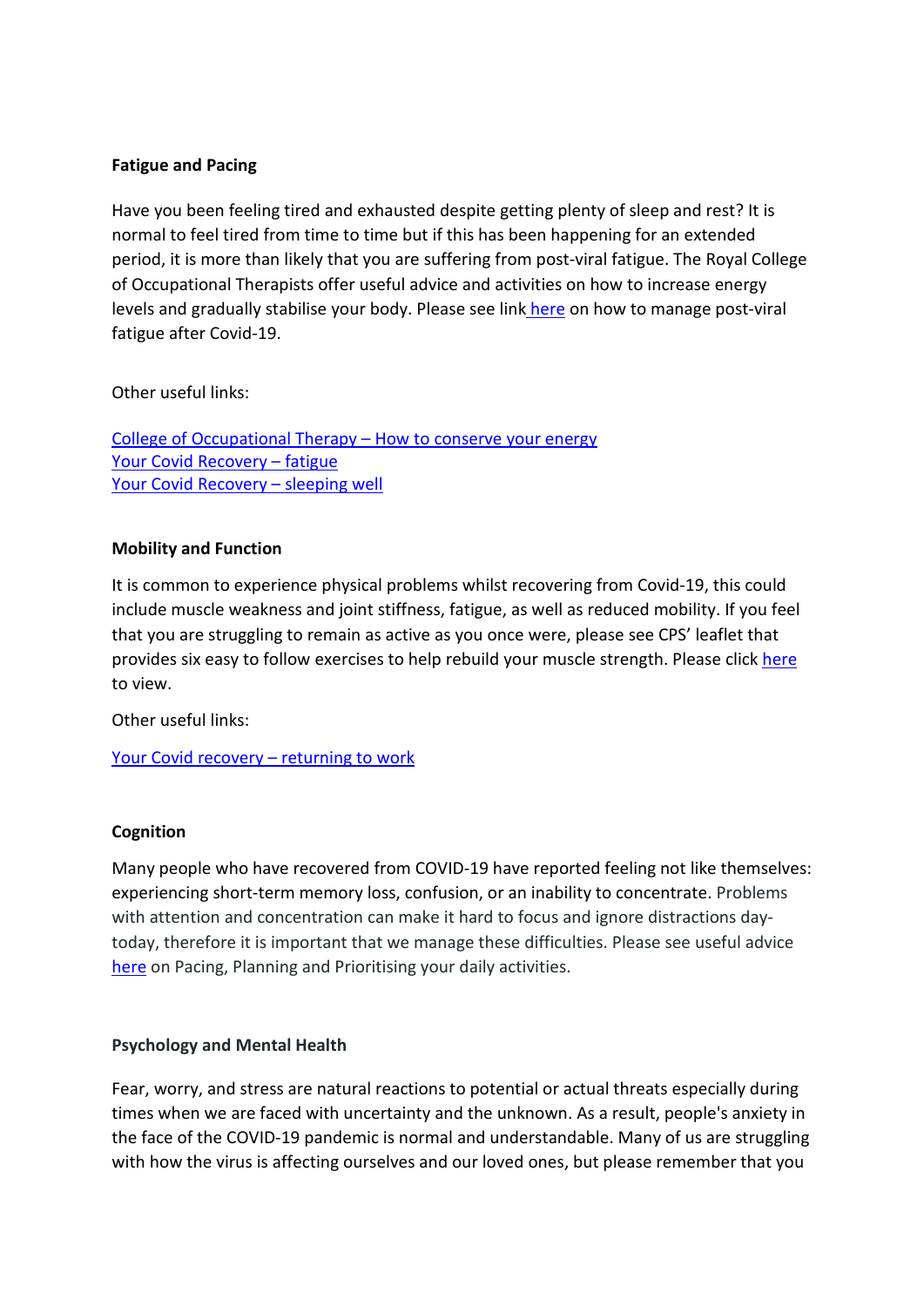#### **Fatigue and Pacing**

Have you been feeling tired and exhausted despite getting plenty of sleep and rest? It is normal to feel tired from time to time but if this has been happening for an extended period, it is more than likely that you are suffering from post-viral fatigue. The Royal College of Occupational Therapists offer useful advice and activities on how to increase energy levels and gradually stabilise your body. Please see link [here](https://www.rcot.co.uk/how-manage-post-viral-fatigue-after-covid-19-0) on how to manage post-viral fatigue after Covid-19.

#### Other useful links:

[College of Occupational Therapy –](https://www.rcot.co.uk/conserving-energy) How to conserve your energy [Your Covid Recovery –](https://www.yourcovidrecovery.nhs.uk/managing-the-effects/effects-on-your-body/fatigue/) fatigue [Your Covid Recovery –](https://www.yourcovidrecovery.nhs.uk/your-wellbeing/sleeping-well/) sleeping well

#### **Mobility and Function**

It is common to experience physical problems whilst recovering from Covid-19, this could include muscle weakness and joint stiffness, fatigue, as well as reduced mobility. If you feel that you are struggling to remain as active as you once were, please see CPS' leaflet that provides six easy to follow exercises to help rebuild your muscle strength. Please click [here](https://www.csp.org.uk/system/files/documents/2020-06/001751_covid19-_the_road_to_recovery_6x_poster_final.pdf) to view.

Other useful links:

[Your Covid recovery –](https://www.yourcovidrecovery.nhs.uk/your-road-to-recovery/returning-to-work/) returning to work

#### **Cognition**

Many people who have recovered from COVID-19 have reported feeling not like themselves: experiencing short-term memory loss, confusion, or an inability to concentrate. Problems with attention and concentration can make it hard to focus and ignore distractions daytoday, therefore it is important that we manage these difficulties. Please see useful advice [here](https://www.yourcovidrecovery.nhs.uk/managing-the-effects/effects-on-your-mind/memory-and-concentration/) on Pacing, Planning and Prioritising your daily activities.

#### **Psychology and Mental Health**

Fear, worry, and stress are natural reactions to potential or actual threats especially during times when we are faced with uncertainty and the unknown. As a result, people's anxiety in the face of the COVID-19 pandemic is normal and understandable. Many of us are struggling with how the virus is affecting ourselves and our loved ones, but please remember that you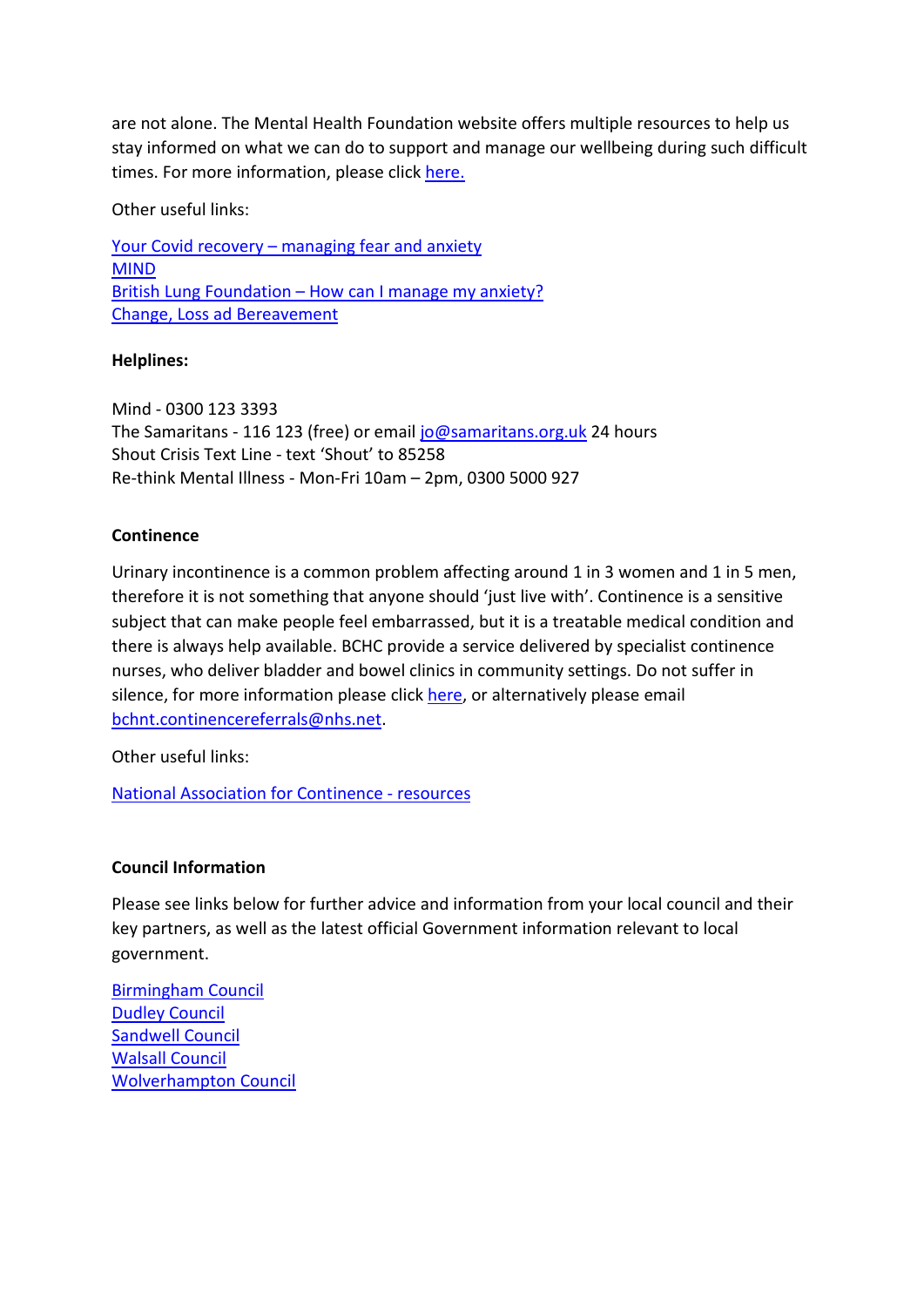are not alone. The Mental Health Foundation website offers multiple resources to help us stay informed on what we can do to support and manage our wellbeing during such difficult times. For more information, please click [here.](https://www.mentalhealth.org.uk/coronavirus)

Other useful links:

Your Covid recovery – [managing fear and anxiety](https://www.yourcovidrecovery.nhs.uk/managing-the-effects/effects-on-your-mind/managing-fear-and-anxiety/) [MIND](https://www.mind.org.uk/information-support/coronavirus/) British Lung Foundation – [How can I manage my anxiety?](https://www.blf.org.uk/support-for-you/dealing-with-your-mental-health/anxiety/management) [Change, Loss ad Bereavement](https://www.mentalhealth.org.uk/coronavirus/change-loss-and-bereavement)

#### **Helplines:**

Mind - 0300 123 3393 The Samaritans - 116 123 (free) or emai[l jo@samaritans.org.uk](mailto:jo@samaritans.org.uk) 24 hours Shout Crisis Text Line - text 'Shout' to 85258 Re-think Mental Illness - Mon-Fri 10am – 2pm, 0300 5000 927

#### **Continence**

Urinary incontinence is a common problem affecting around 1 in 3 women and 1 in 5 men, therefore it is not something that anyone should 'just live with'. Continence is a sensitive subject that can make people feel embarrassed, but it is a treatable medical condition and there is always help available. BCHC provide a service delivered by specialist continence nurses, who deliver bladder and bowel clinics in community settings. Do not suffer in silence, for more information please click [here,](https://www.bhamcommunity.nhs.uk/patients-public/adults/continence/) or alternatively please email [bchnt.continencereferrals@nhs.net.](mailto:bchnt.continencereferrals@nhs.net?subject=Continence%20Referrals)

Other useful links:

[National Association for Continence -](https://www.nafc.org/) resources

#### **Council Information**

Please see links below for further advice and information from your local council and their key partners, as well as the latest official Government information relevant to local government.

[Birmingham Council](https://www.birmingham.gov.uk/coronavirus_advice) [Dudley Council](https://www.dudley.gov.uk/council-community/emergencies/coronavirus/) [Sandwell Council](https://www.sandwell.gov.uk/coronavirus) [Walsall Council](https://go.walsall.gov.uk/covid-19_information) [Wolverhampton Council](https://www.wolverhampton.gov.uk/coronavirus-advice-and-information)